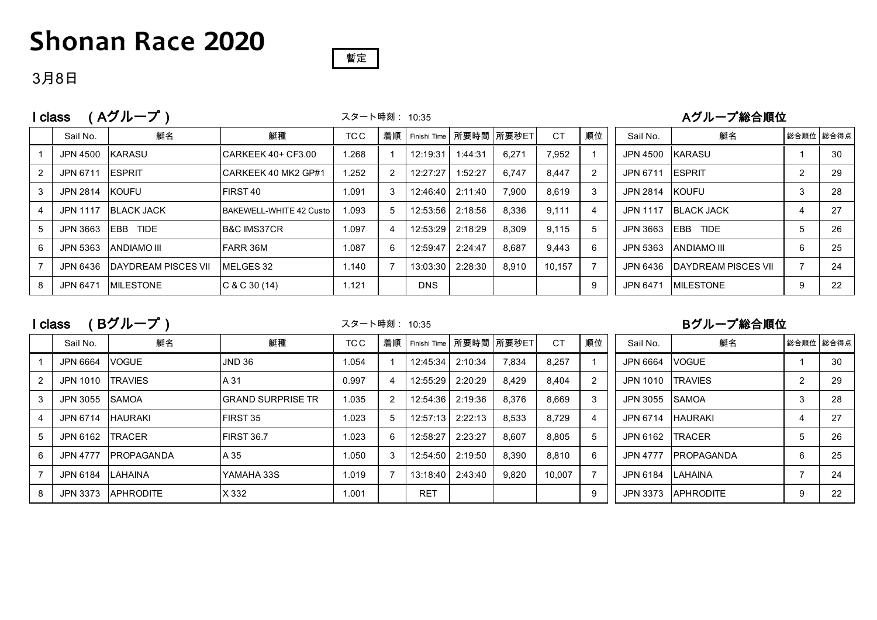## **Shonan Race 2020**



#### 3月8日

|  | I class (Aグループ) | スタート時刻: 10:35 | Aグループ総合順位 |
|--|-----------------|---------------|-----------|
|--|-----------------|---------------|-----------|

スタート時刻: 10:35

|   | Sail No.        | 艇名                          | 艇種                      | TC C  | 着順 |            |         | Finishi Time 所要時間 所要秒ET | <b>CT</b> | 順位 | Sail No.        | 艇名                          |                | 総合順位 総合得点 |
|---|-----------------|-----------------------------|-------------------------|-------|----|------------|---------|-------------------------|-----------|----|-----------------|-----------------------------|----------------|-----------|
|   | JPN 4500        | KARASU                      | ICARKEEK 40+ CF3.00     | 1.268 |    | 12:19:31   | 1:44:31 | 6,271                   | 7,952     |    | JPN 4500        | <b>IKARASU</b>              |                | 30        |
|   | JPN 6711        | <b>IESPRIT</b>              | ICARKEEK 40 MK2 GP#1    | 1.252 |    | 12:27:27   | 1:52:27 | 6.747                   | 8.447     | 2  | JPN 6711        | <b>IESPRIT</b>              | $\Omega$       | 29        |
| 3 | JPN 2814        | <b>IKOUFU</b>               | <b>IFIRST 40</b>        | 1.091 | 3  | 12:46:40   | 2:11:40 | 7.900                   | 8.619     | 3  | JPN 2814        | <b>IKOUFU</b>               | 3              | 28        |
| 4 | <b>JPN 1117</b> | <b>BLACK JACK</b>           | BAKEWELL-WHITE 42 Custo | 1.093 | 5  | 12:53:56   | 2:18:56 | 8.336                   | 9.111     | 4  | <b>JPN 1117</b> | <b>IBLACK JACK</b>          | 4              | 27        |
| 5 | JPN 3663        | IEBB<br>TIDE                | <b>B&amp;C IMS37CR</b>  | 1.097 |    | 12:53:29   | 2:18:29 | 8.309                   | 9.115     |    | JPN 3663        | <b>EBB</b><br><b>TIDE</b>   | 5              | 26        |
| 6 | JPN 5363        | IANDIAMO III                | <b>IFARR 36M</b>        | 1.087 | 6  | 12:59:47   | 2:24:47 | 8.687                   | 9.443     | 6  | JPN 5363        | <b>IANDIAMO III</b>         | 6              | 25        |
|   | JPN 6436        | <b>IDAYDREAM PISCES VII</b> | MELGES 32               | 1.140 |    | 13:03:30   | 2:28:30 | 8.910                   | 10.157    |    | JPN 6436        | <b>IDAYDREAM PISCES VII</b> | $\overline{ }$ | 24        |
| 8 | JPN 6471        | <b>IMILESTONE</b>           | C & C 30 (14)           | 1.121 |    | <b>DNS</b> |         |                         |           | 9  | JPN 6471        | <b>IMILESTONE</b>           | 9              | 22        |

I class (Bグループ) スタート時刻: 10:35 Bグループ総合順位

スタート時刻: 10:35

|   | Sail No.         | 艇名                 | 艇種                 | TC C  | 着順 |            |         | Finishi Time 所要時間 所要秒ET | <b>CT</b> | 順位 | Sail No.        | 艇名                 |   | 総合順位   総合得点 |
|---|------------------|--------------------|--------------------|-------|----|------------|---------|-------------------------|-----------|----|-----------------|--------------------|---|-------------|
|   | JPN 6664         | <b>VOGUE</b>       | JND <sub>36</sub>  | 1.054 |    | 12:45:34   | 2:10:34 | 7,834                   | 8.257     |    | JPN 6664        | <b>VOGUE</b>       |   | 30          |
|   | JPN 1010         | <b>TRAVIES</b>     | A 31               | 0.997 | 4  | 12:55:29   | 2:20:29 | 8,429                   | 8,404     | 2  | JPN 1010        | <b>TRAVIES</b>     | 2 | 29          |
|   | JPN 3055 SAMOA   |                    | IGRAND SURPRISE TR | 1.035 |    | 12:54:36   | 2:19:36 | 8.376                   | 8.669     | 3  | JPN 3055        | <b>ISAMOA</b>      | 3 | 28          |
|   | JPN 6714 HAURAKI |                    | FIRST 35           | 1.023 | 5  | 12:57:13   | 2:22:13 | 8.533                   | 8.729     | 4  | JPN 6714        | <b>HAURAKI</b>     |   | 27          |
|   | JPN 6162         | <b>ITRACER</b>     | <b>FIRST 36.7</b>  | 1.023 | 6  | 12:58:27   | 2:23:27 | 8,607                   | 8,805     | 5  | JPN 6162        | <b>TRACER</b>      | 5 | 26          |
| 6 | <b>JPN 4777</b>  | <b>IPROPAGANDA</b> | A 35               | 1.050 | 3  | 12:54:50   | 2:19:50 | 8.390                   | 8.810     | 6  | <b>JPN 4777</b> | <b>IPROPAGANDA</b> | 6 | 25          |
|   | JPN 6184 LAHAINA |                    | IYAMAHA 33S        | 1.019 |    | 13:18:40   | 2:43:40 | 9,820                   | 10.007    |    | JPN 6184        | <b>LAHAINA</b>     |   | 24          |
| 8 | JPN 3373         | <b>APHRODITE</b>   | X 332              | 1.001 |    | <b>RET</b> |         |                         |           | 9  | JPN 3373        | <b>APHRODITE</b>   | 9 | 22          |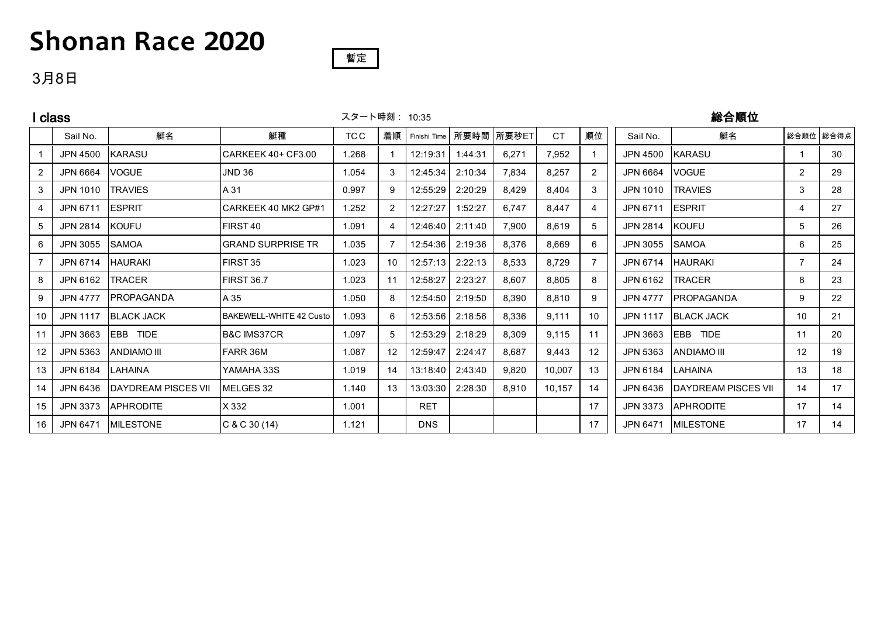# **Shonan Race 2020**

#### 暫定

### 3月8日

| class          |                 |                      |                          |       | スタート時刻: 10:35     |              |         |       |           | 総合順位           |                 |                            |                |           |  |
|----------------|-----------------|----------------------|--------------------------|-------|-------------------|--------------|---------|-------|-----------|----------------|-----------------|----------------------------|----------------|-----------|--|
|                | Sail No.        | 艇名                   | 艇種                       | TC C  | 着順                | Finishi Time | 所要時間    | 所要秒ET | <b>CT</b> | 順位             | Sail No.        | 艇名                         |                | 総合順位 総合得点 |  |
|                | <b>JPN 4500</b> | <b>KARASU</b>        | CARKEEK 40+ CF3.00       | 1.268 |                   | 12:19:31     | 1:44:31 | 6,271 | 7,952     |                | JPN 4500        | <b>KARASU</b>              |                | 30        |  |
| 2              | JPN 6664        | <b>VOGUE</b>         | <b>JND 36</b>            | 1.054 | 3                 | 12:45:34     | 2:10:34 | 7,834 | 8,257     | $\overline{2}$ | JPN 6664        | <b>VOGUE</b>               | $\overline{2}$ | 29        |  |
| 3              | JPN 1010        | <b>TRAVIES</b>       | A 31                     | 0.997 | 9                 | 12:55:29     | 2:20:29 | 8,429 | 8,404     | 3              | JPN 1010        | <b>TRAVIES</b>             | 3              | 28        |  |
| $\overline{4}$ | JPN 6711        | <b>ESPRIT</b>        | CARKEEK 40 MK2 GP#1      | 1.252 | 2                 | 12:27:27     | 1:52:27 | 6,747 | 8.447     | 4              | JPN 6711        | <b>IESPRIT</b>             | 4              | 27        |  |
| $\overline{5}$ | JPN 2814        | <b>KOUFU</b>         | FIRST 40                 | 1.091 |                   | 12:46:40     | 2:11:40 | 7,900 | 8,619     | 5              | JPN 2814        | <b>KOUFU</b>               | 5              | 26        |  |
| 6              | JPN 3055        | SAMOA                | <b>GRAND SURPRISE TR</b> | 1.035 |                   | 12:54:36     | 2:19:36 | 8,376 | 8,669     | 6              | JPN 3055        | <b>SAMOA</b>               | 6              | 25        |  |
| $\overline{7}$ | JPN 6714        | <b>HAURAKI</b>       | FIRST 35                 | 1.023 | 10                | 12:57:13     | 2:22:13 | 8,533 | 8,729     |                | JPN 6714        | <b>HAURAKI</b>             |                | 24        |  |
| 8              | JPN 6162        | <b>TRACER</b>        | <b>FIRST 36.7</b>        | 1.023 | 11                | 12:58:27     | 2:23:27 | 8,607 | 8.805     | 8              | JPN 6162        | <b>TRACER</b>              | 8              | 23        |  |
| 9              | <b>JPN 4777</b> | PROPAGANDA           | A 35                     | 1.050 | 8                 | 12:54:50     | 2:19:50 | 8,390 | 8,810     | 9              | <b>JPN 4777</b> | <b>PROPAGANDA</b>          | 9              | 22        |  |
| 10             | <b>JPN 1117</b> | <b>BLACK JACK</b>    | BAKEWELL-WHITE 42 Custo  | 1.093 | 6.                | 12:53:56     | 2:18:56 | 8,336 | 9,111     | 10             | <b>JPN 1117</b> | <b>BLACK JACK</b>          | 10             | 21        |  |
| 11             | JPN 3663        | <b>IEBB TIDE</b>     | <b>B&amp;C IMS37CR</b>   | 1.097 | 5.                | 12:53:29     | 2:18:29 | 8,309 | 9,115     | 11             | JPN 3663        | EBB TIDE                   | 11             | 20        |  |
| 12             | JPN 5363        | <b>ANDIAMO III</b>   | FARR 36M                 | 1.087 | $12 \overline{ }$ | 12:59:47     | 2:24:47 | 8,687 | 9,443     | $12 \,$        | JPN 5363        | <b>ANDIAMO III</b>         | 12             | 19        |  |
| 13             | JPN 6184        | ILAHAINA             | YAMAHA 33S               | 1.019 | 14                | 13:18:40     | 2:43:40 | 9,820 | 10,007    | 13             | JPN 6184        | LAHAINA                    | 13             | 18        |  |
| 14             | JPN 6436        | IDAYDREAM PISCES VII | MELGES 32                | 1.140 | 13                | 13:03:30     | 2:28:30 | 8,910 | 10,157    | 14             | JPN 6436        | <b>DAYDREAM PISCES VII</b> | 14             | 17        |  |
| 15             | JPN 3373        | <b>APHRODITE</b>     | X 332                    | 1.001 |                   | <b>RET</b>   |         |       |           | 17             | JPN 3373        | <b>APHRODITE</b>           | 17             | 14        |  |
| 16             | JPN 6471        | <b>MILESTONE</b>     | C & C 30 (14)            | 1.121 |                   | <b>DNS</b>   |         |       |           | 17             |                 | JPN 6471 MILESTONE         | 17             | 14        |  |